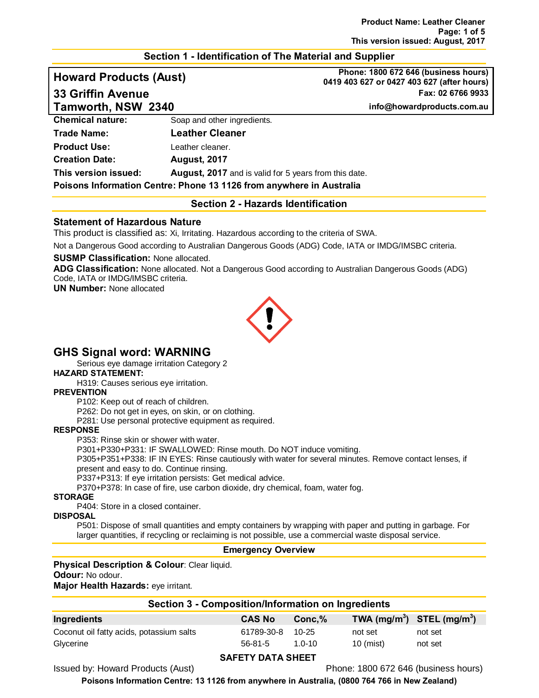#### **Section 1 - Identification of The Material and Supplier**

**Howard Products (Aust) Phone: 1800 672 646 (business hours) 0419 403 627 or 0427 403 627 (after hours) 33 Griffin Avenue Fax: 02 6766 9933**

**Tamworth, NSW 2340 info@howardproducts.com.au**

| $1$ and $\theta$ contributions and $\theta$                          |
|----------------------------------------------------------------------|
| Soap and other ingredients.                                          |
| <b>Leather Cleaner</b>                                               |
| Leather cleaner.                                                     |
| <b>August, 2017</b>                                                  |
| <b>August, 2017</b> and is valid for 5 years from this date.         |
| Poisons Information Centre: Phone 13 1126 from anywhere in Australia |
|                                                                      |

#### **Section 2 - Hazards Identification**

#### **Statement of Hazardous Nature**

This product is classified as: Xi, Irritating. Hazardous according to the criteria of SWA.

Not a Dangerous Good according to Australian Dangerous Goods (ADG) Code, IATA or IMDG/IMSBC criteria.

#### **SUSMP Classification:** None allocated.

**ADG Classification:** None allocated. Not a Dangerous Good according to Australian Dangerous Goods (ADG) Code, IATA or IMDG/IMSBC criteria.

**UN Number:** None allocated



# **GHS Signal word: WARNING**

Serious eye damage irritation Category 2

**HAZARD STATEMENT:**

H319: Causes serious eye irritation.

#### **PREVENTION**

P102: Keep out of reach of children.

P262: Do not get in eyes, on skin, or on clothing.

P281: Use personal protective equipment as required.

#### **RESPONSE**

P353: Rinse skin or shower with water.

P301+P330+P331: IF SWALLOWED: Rinse mouth. Do NOT induce vomiting.

P305+P351+P338: IF IN EYES: Rinse cautiously with water for several minutes. Remove contact lenses, if present and easy to do. Continue rinsing.

P337+P313: If eye irritation persists: Get medical advice.

P370+P378: In case of fire, use carbon dioxide, dry chemical, foam, water fog.

#### **STORAGE**

P404: Store in a closed container.

#### **DISPOSAL**

P501: Dispose of small quantities and empty containers by wrapping with paper and putting in garbage. For larger quantities, if recycling or reclaiming is not possible, use a commercial waste disposal service.

#### **Emergency Overview**

#### **Physical Description & Colour**: Clear liquid. **Odour:** No odour.

**Major Health Hazards:** eye irritant.

| Ingredients                              | <b>CAS No</b>    | Conc.%     | TWA $(mg/m^3)$ STEL $(mg/m^3)$ |         |
|------------------------------------------|------------------|------------|--------------------------------|---------|
| Coconut oil fatty acids, potassium salts | 61789-30-8 10-25 |            | not set                        | not set |
| Glycerine                                | $56 - 81 - 5$    | $1.0 - 10$ | $10 \text{ (mist)}$            | not set |

## **SAFETY DATA SHEET**

Issued by: Howard Products (Aust) Phone: 1800 672 646 (business hours)

**Poisons Information Centre: 13 1126 from anywhere in Australia, (0800 764 766 in New Zealand)**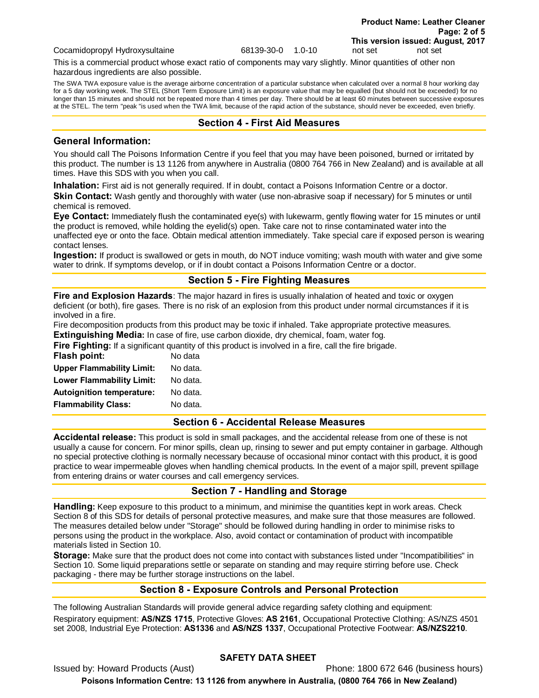Cocamidopropyl Hydroxysultaine 68139-30-0 1.0-10 not set not set

This is a commercial product whose exact ratio of components may vary slightly. Minor quantities of other non hazardous ingredients are also possible.

The SWA TWA exposure value is the average airborne concentration of a particular substance when calculated over a normal 8 hour working day for a 5 day working week. The STEL (Short Term Exposure Limit) is an exposure value that may be equalled (but should not be exceeded) for no longer than 15 minutes and should not be repeated more than 4 times per day. There should be at least 60 minutes between successive exposures at the STEL. The term "peak "is used when the TWA limit, because of the rapid action of the substance, should never be exceeded, even briefly.

#### **Section 4 - First Aid Measures**

#### **General Information:**

You should call The Poisons Information Centre if you feel that you may have been poisoned, burned or irritated by this product. The number is 13 1126 from anywhere in Australia (0800 764 766 in New Zealand) and is available at all times. Have this SDS with you when you call.

**Inhalation:** First aid is not generally required. If in doubt, contact a Poisons Information Centre or a doctor. **Skin Contact:** Wash gently and thoroughly with water (use non-abrasive soap if necessary) for 5 minutes or until chemical is removed.

**Eye Contact:** Immediately flush the contaminated eye(s) with lukewarm, gently flowing water for 15 minutes or until the product is removed, while holding the eyelid(s) open. Take care not to rinse contaminated water into the unaffected eye or onto the face. Obtain medical attention immediately. Take special care if exposed person is wearing contact lenses.

**Ingestion:** If product is swallowed or gets in mouth, do NOT induce vomiting; wash mouth with water and give some water to drink. If symptoms develop, or if in doubt contact a Poisons Information Centre or a doctor.

# **Section 5 - Fire Fighting Measures**

**Fire and Explosion Hazards**: The major hazard in fires is usually inhalation of heated and toxic or oxygen deficient (or both), fire gases. There is no risk of an explosion from this product under normal circumstances if it is involved in a fire.

Fire decomposition products from this product may be toxic if inhaled. Take appropriate protective measures. **Extinguishing Media:** In case of fire, use carbon dioxide, dry chemical, foam, water fog.

**Fire Fighting:** If a significant quantity of this product is involved in a fire, call the fire brigade.

| <b>Flash point:</b>              | No data  |
|----------------------------------|----------|
| <b>Upper Flammability Limit:</b> | No data. |
| <b>Lower Flammability Limit:</b> | No data. |
| <b>Autoignition temperature:</b> | No data. |
| <b>Flammability Class:</b>       | No data. |

#### **Section 6 - Accidental Release Measures**

**Accidental release:** This product is sold in small packages, and the accidental release from one of these is not usually a cause for concern. For minor spills, clean up, rinsing to sewer and put empty container in garbage. Although no special protective clothing is normally necessary because of occasional minor contact with this product, it is good practice to wear impermeable gloves when handling chemical products. In the event of a major spill, prevent spillage from entering drains or water courses and call emergency services.

#### **Section 7 - Handling and Storage**

**Handling:** Keep exposure to this product to a minimum, and minimise the quantities kept in work areas. Check Section 8 of this SDS for details of personal protective measures, and make sure that those measures are followed. The measures detailed below under "Storage" should be followed during handling in order to minimise risks to persons using the product in the workplace. Also, avoid contact or contamination of product with incompatible materials listed in Section 10.

**Storage:** Make sure that the product does not come into contact with substances listed under "Incompatibilities" in Section 10. Some liquid preparations settle or separate on standing and may require stirring before use. Check packaging - there may be further storage instructions on the label.

## **Section 8 - Exposure Controls and Personal Protection**

The following Australian Standards will provide general advice regarding safety clothing and equipment: Respiratory equipment: **AS/NZS 1715**, Protective Gloves: **AS 2161**, Occupational Protective Clothing: AS/NZS 4501 set 2008, Industrial Eye Protection: **AS1336** and **AS/NZS 1337**, Occupational Protective Footwear: **AS/NZS2210**.

## **SAFETY DATA SHEET**

Issued by: Howard Products (Aust) Phone: 1800 672 646 (business hours) **Poisons Information Centre: 13 1126 from anywhere in Australia, (0800 764 766 in New Zealand)**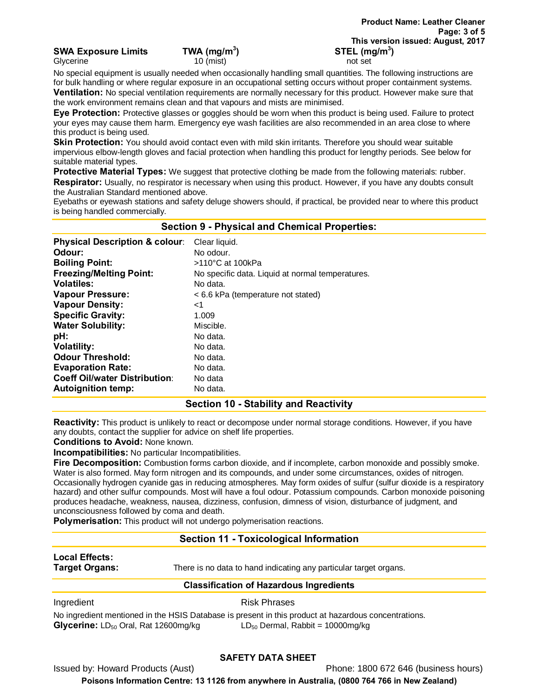**SWA Exposure Limits TWA (mg/m3**

Glycerine **10** (mist) not set and set all of the control of set and set all of the control of set and set all of the control of the control of the control of the control of the control of the control of the control of the

No special equipment is usually needed when occasionally handling small quantities. The following instructions are for bulk handling or where regular exposure in an occupational setting occurs without proper containment systems. **Ventilation:** No special ventilation requirements are normally necessary for this product. However make sure that the work environment remains clean and that vapours and mists are minimised.

**Eye Protection:** Protective glasses or goggles should be worn when this product is being used. Failure to protect your eyes may cause them harm. Emergency eye wash facilities are also recommended in an area close to where this product is being used.

**Skin Protection:** You should avoid contact even with mild skin irritants. Therefore you should wear suitable impervious elbow-length gloves and facial protection when handling this product for lengthy periods. See below for suitable material types.

**Protective Material Types:** We suggest that protective clothing be made from the following materials: rubber. **Respirator:** Usually, no respirator is necessary when using this product. However, if you have any doubts consult the Australian Standard mentioned above.

Eyebaths or eyewash stations and safety deluge showers should, if practical, be provided near to where this product is being handled commercially.

**Section 9 - Physical and Chemical Properties:**

| <b>Physical Description &amp; colour:</b> | Clear liquid.                                    |
|-------------------------------------------|--------------------------------------------------|
| Odour:                                    | No odour.                                        |
| <b>Boiling Point:</b>                     | >110°C at 100kPa                                 |
| <b>Freezing/Melting Point:</b>            | No specific data. Liquid at normal temperatures. |
| <b>Volatiles:</b>                         | No data.                                         |
| <b>Vapour Pressure:</b>                   | < 6.6 kPa (temperature not stated)               |
| <b>Vapour Density:</b>                    | ا>                                               |
| <b>Specific Gravity:</b>                  | 1.009                                            |
| <b>Water Solubility:</b>                  | Miscible.                                        |
| pH:                                       | No data.                                         |
| <b>Volatility:</b>                        | No data.                                         |
| <b>Odour Threshold:</b>                   | No data.                                         |
| <b>Evaporation Rate:</b>                  | No data.                                         |
| <b>Coeff Oil/water Distribution:</b>      | No data                                          |
| <b>Autoignition temp:</b>                 | No data.                                         |

## **Section 10 - Stability and Reactivity**

**Reactivity:** This product is unlikely to react or decompose under normal storage conditions. However, if you have any doubts, contact the supplier for advice on shelf life properties.

**Conditions to Avoid:** None known.

**Incompatibilities:** No particular Incompatibilities.

**Fire Decomposition:** Combustion forms carbon dioxide, and if incomplete, carbon monoxide and possibly smoke. Water is also formed. May form nitrogen and its compounds, and under some circumstances, oxides of nitrogen. Occasionally hydrogen cyanide gas in reducing atmospheres. May form oxides of sulfur (sulfur dioxide is a respiratory hazard) and other sulfur compounds. Most will have a foul odour. Potassium compounds. Carbon monoxide poisoning produces headache, weakness, nausea, dizziness, confusion, dimness of vision, disturbance of judgment, and unconsciousness followed by coma and death.

**Polymerisation:** This product will not undergo polymerisation reactions.

# **Section 11 - Toxicological Information**

**Local Effects:** 

**Target Organs:** There is no data to hand indicating any particular target organs.

## **Classification of Hazardous Ingredients**

Ingredient **Risk Phrases** 

No ingredient mentioned in the HSIS Database is present in this product at hazardous concentrations. **Glycerine:** LD<sub>50</sub> Oral, Rat 12600mg/kg LD<sub>50</sub> Dermal, Rabbit = 10000mg/kg

## **SAFETY DATA SHEET**

Issued by: Howard Products (Aust) Phone: 1800 672 646 (business hours)

**Poisons Information Centre: 13 1126 from anywhere in Australia, (0800 764 766 in New Zealand)**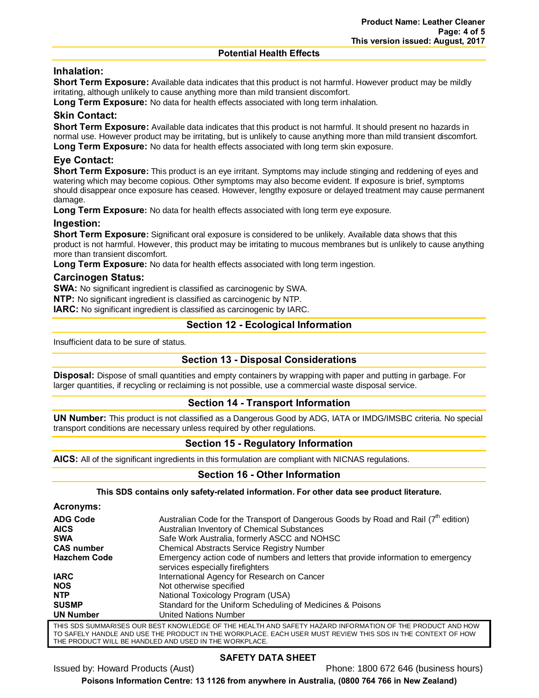#### **Potential Health Effects**

# **Inhalation:**

**Short Term Exposure:** Available data indicates that this product is not harmful. However product may be mildly irritating, although unlikely to cause anything more than mild transient discomfort.

**Long Term Exposure:** No data for health effects associated with long term inhalation.

# **Skin Contact:**

**Short Term Exposure:** Available data indicates that this product is not harmful. It should present no hazards in normal use. However product may be irritating, but is unlikely to cause anything more than mild transient discomfort. **Long Term Exposure:** No data for health effects associated with long term skin exposure.

# **Eye Contact:**

**Short Term Exposure:** This product is an eye irritant. Symptoms may include stinging and reddening of eyes and watering which may become copious. Other symptoms may also become evident. If exposure is brief, symptoms should disappear once exposure has ceased. However, lengthy exposure or delayed treatment may cause permanent damage.

**Long Term Exposure:** No data for health effects associated with long term eye exposure.

# **Ingestion:**

**Short Term Exposure:** Significant oral exposure is considered to be unlikely. Available data shows that this product is not harmful. However, this product may be irritating to mucous membranes but is unlikely to cause anything more than transient discomfort.

**Long Term Exposure:** No data for health effects associated with long term ingestion.

## **Carcinogen Status:**

**SWA:** No significant ingredient is classified as carcinogenic by SWA.

**NTP:** No significant ingredient is classified as carcinogenic by NTP.

**IARC:** No significant ingredient is classified as carcinogenic by IARC.

# **Section 12 - Ecological Information**

Insufficient data to be sure of status.

## **Section 13 - Disposal Considerations**

**Disposal:** Dispose of small quantities and empty containers by wrapping with paper and putting in garbage. For larger quantities, if recycling or reclaiming is not possible, use a commercial waste disposal service.

## **Section 14 - Transport Information**

**UN Number:** This product is not classified as a Dangerous Good by ADG, IATA or IMDG/IMSBC criteria. No special transport conditions are necessary unless required by other regulations.

# **Section 15 - Regulatory Information**

**AICS:** All of the significant ingredients in this formulation are compliant with NICNAS regulations.

## **Section 16 - Other Information**

**This SDS contains only safety-related information. For other data see product literature.**

| Acronyms:           |                                                                                                                        |
|---------------------|------------------------------------------------------------------------------------------------------------------------|
| <b>ADG Code</b>     | Australian Code for the Transport of Dangerous Goods by Road and Rail $(7th$ edition)                                  |
| <b>AICS</b>         | Australian Inventory of Chemical Substances                                                                            |
| <b>SWA</b>          | Safe Work Australia, formerly ASCC and NOHSC                                                                           |
| <b>CAS number</b>   | <b>Chemical Abstracts Service Registry Number</b>                                                                      |
| <b>Hazchem Code</b> | Emergency action code of numbers and letters that provide information to emergency<br>services especially firefighters |
| <b>IARC</b>         | International Agency for Research on Cancer                                                                            |
| <b>NOS</b>          | Not otherwise specified                                                                                                |
| <b>NTP</b>          | National Toxicology Program (USA)                                                                                      |
| <b>SUSMP</b>        | Standard for the Uniform Scheduling of Medicines & Poisons                                                             |
| <b>UN Number</b>    | United Nations Number                                                                                                  |
|                     | THIO ODO OHIMI DIODO OHD DEOT KIOWI EDOE OF THE HEALTH AND OAFETV HAZADD INFODIAATION OF THE DDODHOT AND HOM.          |

THIS SDS SUMMARISES OUR BEST KNOWLEDGE OF THE HEALTH AND SAFETY HAZARD INFORMATION OF THE PRODUCT AND HOW TO SAFELY HANDLE AND USE THE PRODUCT IN THE WORKPLACE. EACH USER MUST REVIEW THIS SDS IN THE CONTEXT OF HOW THE PRODUCT WILL BE HANDLED AND USED IN THE WORKPLACE.

## **SAFETY DATA SHEET**

Issued by: Howard Products (Aust) Phone: 1800 672 646 (business hours)

**Poisons Information Centre: 13 1126 from anywhere in Australia, (0800 764 766 in New Zealand)**